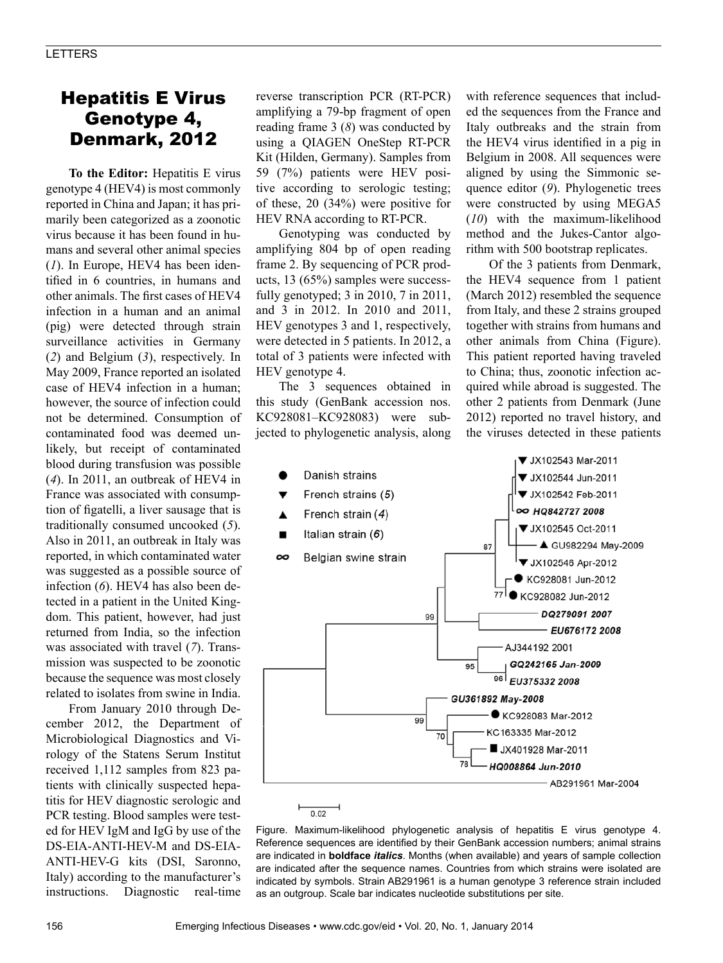## Hepatitis E Virus Genotype 4, Denmark, 2012

**To the Editor:** Hepatitis E virus genotype 4 (HEV4) is most commonly reported in China and Japan; it has primarily been categorized as a zoonotic virus because it has been found in humans and several other animal species (*1*). In Europe, HEV4 has been identified in 6 countries, in humans and other animals. The first cases of HEV4 infection in a human and an animal (pig) were detected through strain surveillance activities in Germany (*2*) and Belgium (*3*), respectively. In May 2009, France reported an isolated case of HEV4 infection in a human; however, the source of infection could not be determined. Consumption of contaminated food was deemed unlikely, but receipt of contaminated blood during transfusion was possible (*4*). In 2011, an outbreak of HEV4 in France was associated with consumption of figatelli, a liver sausage that is traditionally consumed uncooked (*5*). Also in 2011, an outbreak in Italy was reported, in which contaminated water was suggested as a possible source of infection (*6*). HEV4 has also been detected in a patient in the United Kingdom. This patient, however, had just returned from India, so the infection was associated with travel (*7*). Transmission was suspected to be zoonotic because the sequence was most closely related to isolates from swine in India.

From January 2010 through December 2012, the Department of Microbiological Diagnostics and Virology of the Statens Serum Institut received 1,112 samples from 823 patients with clinically suspected hepatitis for HEV diagnostic serologic and PCR testing. Blood samples were tested for HEV IgM and IgG by use of the DS-EIA-ANTI-HEV-M and DS-EIA-ANTI-HEV-G kits (DSI, Saronno, Italy) according to the manufacturer's instructions. Diagnostic real-time

reverse transcription PCR (RT-PCR) amplifying a 79-bp fragment of open reading frame 3 (*8*) was conducted by using a QIAGEN OneStep RT-PCR Kit (Hilden, Germany). Samples from 59 (7%) patients were HEV positive according to serologic testing; of these, 20 (34%) were positive for HEV RNA according to RT-PCR.

Genotyping was conducted by amplifying 804 bp of open reading frame 2. By sequencing of PCR products, 13 (65%) samples were successfully genotyped; 3 in 2010, 7 in 2011, and 3 in 2012. In 2010 and 2011, HEV genotypes 3 and 1, respectively, were detected in 5 patients. In 2012, a total of 3 patients were infected with HEV genotype 4.

The 3 sequences obtained in this study (GenBank accession nos. KC928081–KC928083) were subjected to phylogenetic analysis, along

with reference sequences that included the sequences from the France and Italy outbreaks and the strain from the HEV4 virus identified in a pig in Belgium in 2008. All sequences were aligned by using the Simmonic sequence editor (*9*). Phylogenetic trees were constructed by using MEGA5 (*10*) with the maximum-likelihood method and the Jukes-Cantor algorithm with 500 bootstrap replicates.

Of the 3 patients from Denmark, the HEV4 sequence from 1 patient (March 2012) resembled the sequence from Italy, and these 2 strains grouped together with strains from humans and other animals from China (Figure). This patient reported having traveled to China; thus, zoonotic infection acquired while abroad is suggested. The other 2 patients from Denmark (June 2012) reported no travel history, and the viruses detected in these patients



Figure. Maximum-likelihood phylogenetic analysis of hepatitis E virus genotype 4. Reference sequences are identified by their GenBank accession numbers; animal strains are indicated in **boldface** *italics*. Months (when available) and years of sample collection are indicated after the sequence names. Countries from which strains were isolated are indicated by symbols. Strain AB291961 is a human genotype 3 reference strain included as an outgroup. Scale bar indicates nucleotide substitutions per site.